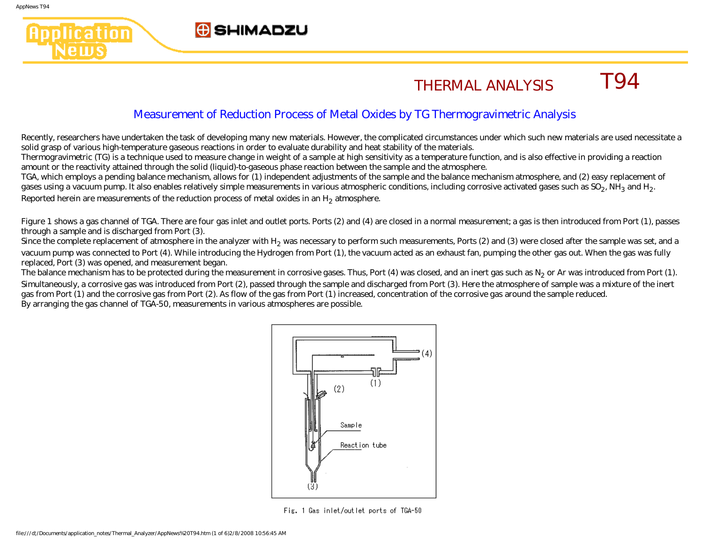plication

lews

## **G** SHIMADZU

## THERMAL ANALYSIS T94

## Measurement of Reduction Process of Metal Oxides by TG Thermogravimetric Analysis

Recently, researchers have undertaken the task of developing many new materials. However, the complicated circumstances under which such new materials are used necessitate a solid grasp of various high-temperature gaseous reactions in order to evaluate durability and heat stability of the materials.

Thermogravimetric (TG) is a technique used to measure change in weight of a sample at high sensitivity as a temperature function, and is also effective in providing a reaction amount or the reactivity attained through the solid (liquid)-to-gaseous phase reaction between the sample and the atmosphere.

TGA, which employs a pending balance mechanism, allows for (1) independent adjustments of the sample and the balance mechanism atmosphere, and (2) easy replacement of gases using a vacuum pump. It also enables relatively simple measurements in various atmospheric conditions, including corrosive activated gases such as SO<sub>2</sub>, NH<sub>3</sub> and H<sub>2</sub>. Reported herein are measurements of the reduction process of metal oxides in an H<sub>2</sub> atmosphere.

Figure 1 shows a gas channel of TGA. There are four gas inlet and outlet ports. Ports (2) and (4) are closed in a normal measurement; a gas is then introduced from Port (1), passes through a sample and is discharged from Port (3).

Since the complete replacement of atmosphere in the analyzer with H<sub>2</sub> was necessary to perform such measurements, Ports (2) and (3) were closed after the sample was set, and a vacuum pump was connected to Port (4). While introducing the Hydrogen from Port (1), the vacuum acted as an exhaust fan, pumping the other gas out. When the gas was fully replaced, Port (3) was opened, and measurement began.

The balance mechanism has to be protected during the measurement in corrosive gases. Thus, Port  $(4)$  was closed, and an inert gas such as N<sub>2</sub> or Ar was introduced from Port  $(1)$ . Simultaneously, a corrosive gas was introduced from Port (2), passed through the sample and discharged from Port (3). Here the atmosphere of sample was a mixture of the inert gas from Port (1) and the corrosive gas from Port (2). As flow of the gas from Port (1) increased, concentration of the corrosive gas around the sample reduced. By arranging the gas channel of TGA-50, measurements in various atmospheres are possible.



Fig. 1 Gas inlet/outlet ports of TGA-50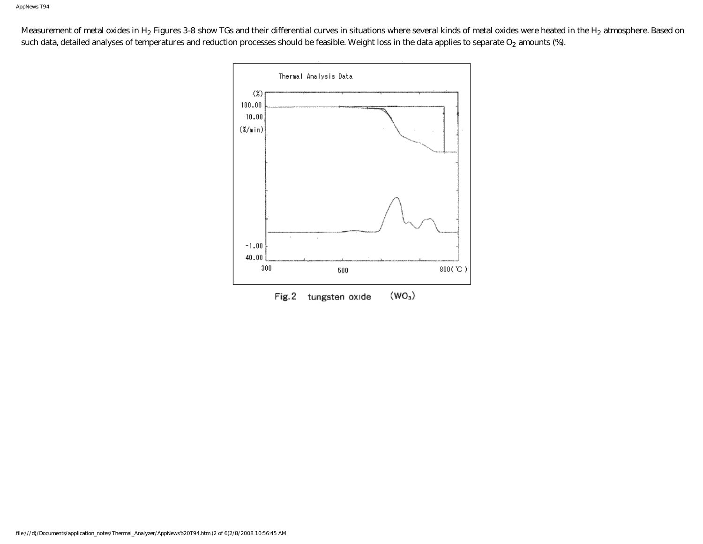Measurement of metal oxides in H<sub>2</sub> Figures 3-8 show TGs and their differential curves in situations where several kinds of metal oxides were heated in the H<sub>2</sub> atmosphere. Based on such data, detailed analyses of temperatures and reduction processes should be feasible. Weight loss in the data applies to separate  $O_2$  amounts (%).

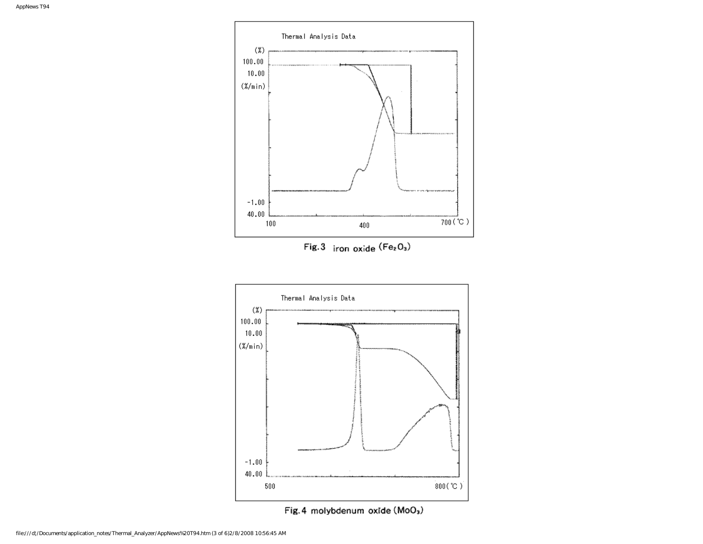

Fig. 4 molybdenum oxide (MoO3)

 $800(°C)$ 

 $-1.00$ 40.00

 ${\bf 500}$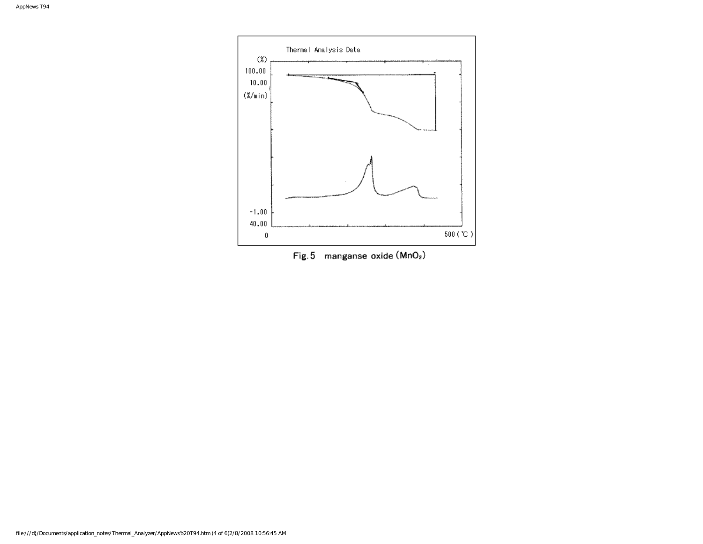

Fig. 5 manganse oxide  $(MnO<sub>2</sub>)$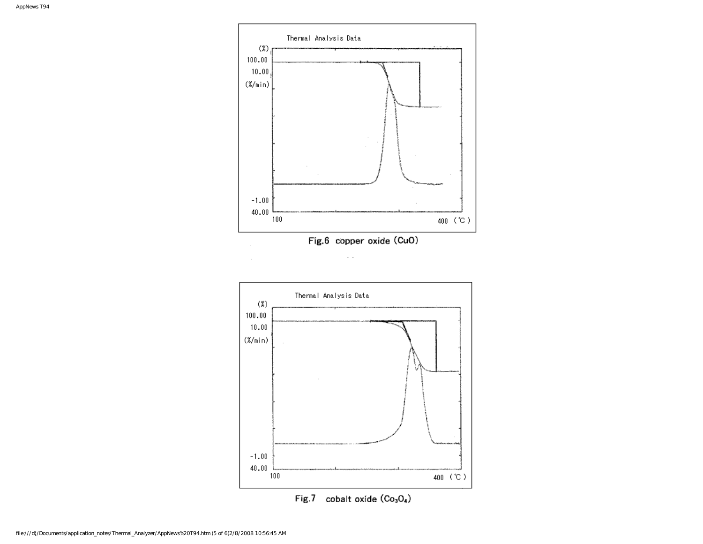